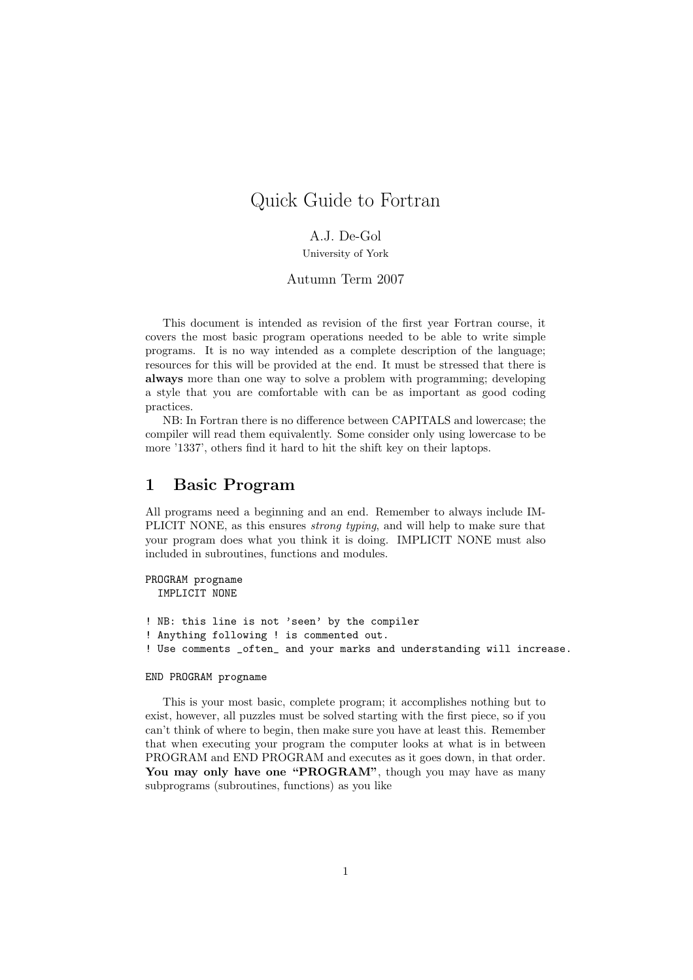# Quick Guide to Fortran

## A.J. De-Gol

University of York

### Autumn Term 2007

This document is intended as revision of the first year Fortran course, it covers the most basic program operations needed to be able to write simple programs. It is no way intended as a complete description of the language; resources for this will be provided at the end. It must be stressed that there is always more than one way to solve a problem with programming; developing a style that you are comfortable with can be as important as good coding practices.

NB: In Fortran there is no difference between CAPITALS and lowercase; the compiler will read them equivalently. Some consider only using lowercase to be more '1337', others find it hard to hit the shift key on their laptops.

## 1 Basic Program

All programs need a beginning and an end. Remember to always include IM-PLICIT NONE, as this ensures *strong typing*, and will help to make sure that your program does what you think it is doing. IMPLICIT NONE must also included in subroutines, functions and modules.

```
PROGRAM progname
  IMPLICIT NONE
! NB: this line is not 'seen' by the compiler
! Anything following ! is commented out.
! Use comments _often_ and your marks and understanding will increase.
```
#### END PROGRAM progname

This is your most basic, complete program; it accomplishes nothing but to exist, however, all puzzles must be solved starting with the first piece, so if you can't think of where to begin, then make sure you have at least this. Remember that when executing your program the computer looks at what is in between PROGRAM and END PROGRAM and executes as it goes down, in that order. You may only have one "PROGRAM", though you may have as many subprograms (subroutines, functions) as you like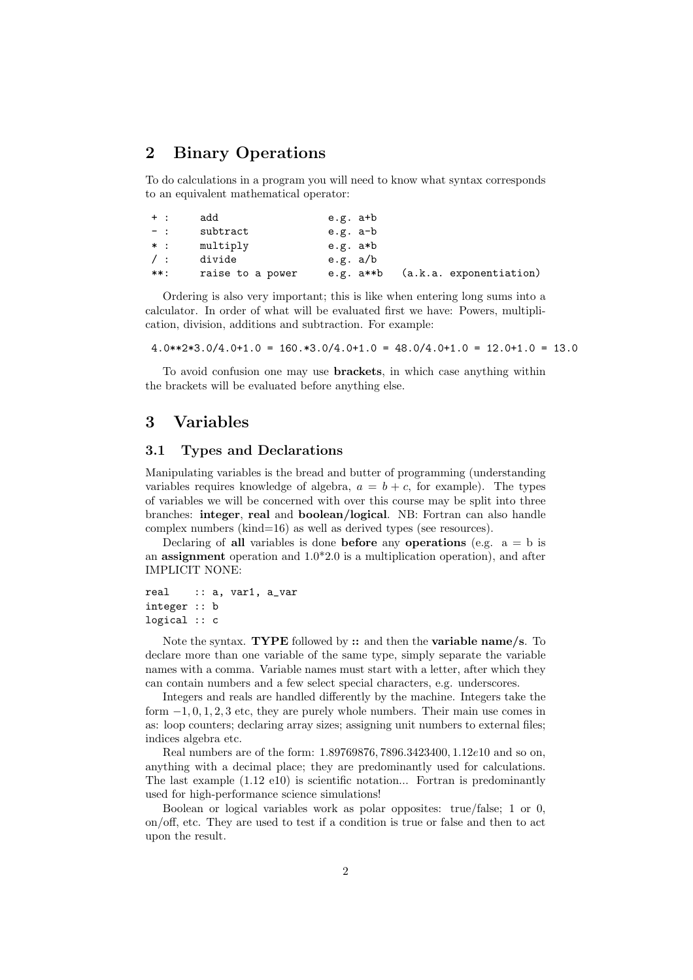## 2 Binary Operations

To do calculations in a program you will need to know what syntax corresponds to an equivalent mathematical operator:

| $+$ :      | add              | e.g. a+b   |                         |
|------------|------------------|------------|-------------------------|
| $-1$       | subtract         | e.g. a-b   |                         |
| $*$ :      | multiply         | e.g. a*b   |                         |
| $\prime$ : | divide           | e.g. $a/b$ |                         |
| **:        | raise to a power | e.g. a**b  | (a.k.a. exponentiation) |

Ordering is also very important; this is like when entering long sums into a calculator. In order of what will be evaluated first we have: Powers, multiplication, division, additions and subtraction. For example:

 $4.0**2*3.0/4.0+1.0 = 160.*3.0/4.0+1.0 = 48.0/4.0+1.0 = 12.0+1.0 = 13.0$ 

To avoid confusion one may use brackets, in which case anything within the brackets will be evaluated before anything else.

## 3 Variables

### 3.1 Types and Declarations

Manipulating variables is the bread and butter of programming (understanding variables requires knowledge of algebra,  $a = b + c$ , for example). The types of variables we will be concerned with over this course may be split into three branches: integer, real and boolean/logical. NB: Fortran can also handle complex numbers (kind=16) as well as derived types (see resources).

Declaring of all variables is done before any operations (e.g.  $a = b$  is an **assignment** operation and  $1.0*2.0$  is a multiplication operation), and after IMPLICIT NONE:

```
real :: a, var1, a_var
integer :: b
logical :: c
```
Note the syntax. **TYPE** followed by :: and then the **variable name**/s. To declare more than one variable of the same type, simply separate the variable names with a comma. Variable names must start with a letter, after which they can contain numbers and a few select special characters, e.g. underscores.

Integers and reals are handled differently by the machine. Integers take the form  $-1, 0, 1, 2, 3$  etc, they are purely whole numbers. Their main use comes in as: loop counters; declaring array sizes; assigning unit numbers to external files; indices algebra etc.

Real numbers are of the form: 1.89769876, 7896.3423400, 1.12e10 and so on, anything with a decimal place; they are predominantly used for calculations. The last example (1.12 e10) is scientific notation... Fortran is predominantly used for high-performance science simulations!

Boolean or logical variables work as polar opposites: true/false; 1 or 0, on/off, etc. They are used to test if a condition is true or false and then to act upon the result.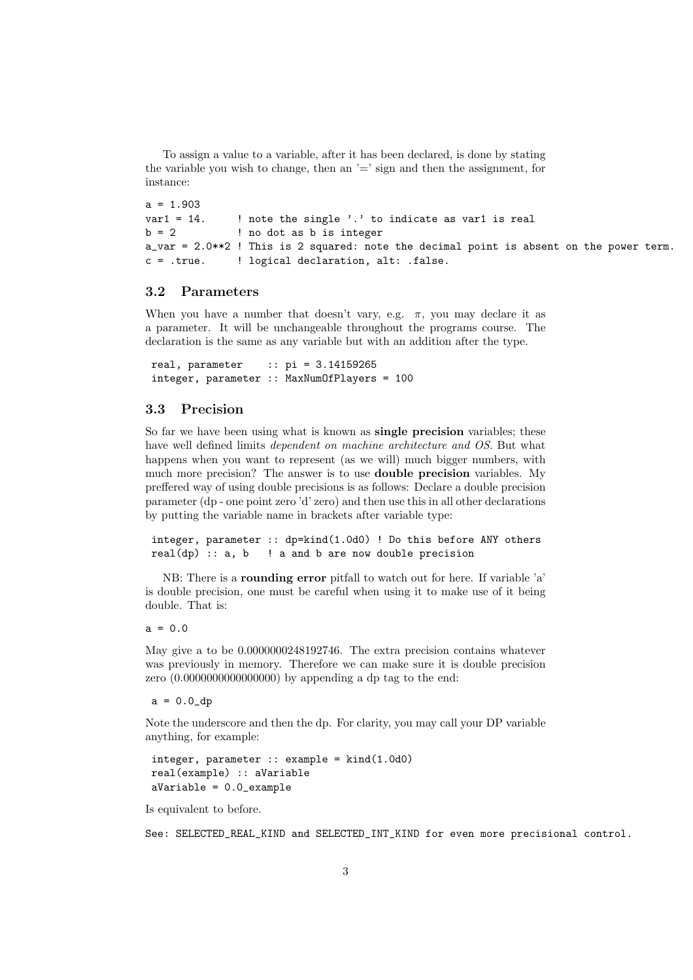To assign a value to a variable, after it has been declared, is done by stating the variable you wish to change, then an  $=$  sign and then the assignment, for instance:

```
a = 1.903var1 = 14. ! note the single '.' to indicate as var1 is real
b = 2 ! no dot as b is integer
a_var = 2.0**2 ! This is 2 squared: note the decimal point is absent on the power term.
c = .true. ! logical declaration, alt: .false.
```
### 3.2 Parameters

When you have a number that doesn't vary, e.g.  $\pi$ , you may declare it as a parameter. It will be unchangeable throughout the programs course. The declaration is the same as any variable but with an addition after the type.

```
real, parameter :: pi = 3.14159265
integer, parameter :: MaxNumOfPlayers = 100
```
#### 3.3 Precision

So far we have been using what is known as **single precision** variables; these have well defined limits dependent on machine architecture and OS. But what happens when you want to represent (as we will) much bigger numbers, with much more precision? The answer is to use double precision variables. My preffered way of using double precisions is as follows: Declare a double precision parameter (dp - one point zero 'd' zero) and then use this in all other declarations by putting the variable name in brackets after variable type:

integer, parameter :: dp=kind(1.0d0) ! Do this before ANY others  $real(dp) :: a, b$  ! a and b are now double precision

NB: There is a rounding error pitfall to watch out for here. If variable 'a' is double precision, one must be careful when using it to make use of it being double. That is:

 $a = 0.0$ 

May give a to be 0.0000000248192746. The extra precision contains whatever was previously in memory. Therefore we can make sure it is double precision zero (0.0000000000000000) by appending a dp tag to the end:

 $a = 0.0$  dp

Note the underscore and then the dp. For clarity, you may call your DP variable anything, for example:

```
integer, parameter :: example = kind(1.0d0)
real(example) :: aVariable
aVariable = 0.0_example
```
Is equivalent to before.

See: SELECTED\_REAL\_KIND and SELECTED\_INT\_KIND for even more precisional control.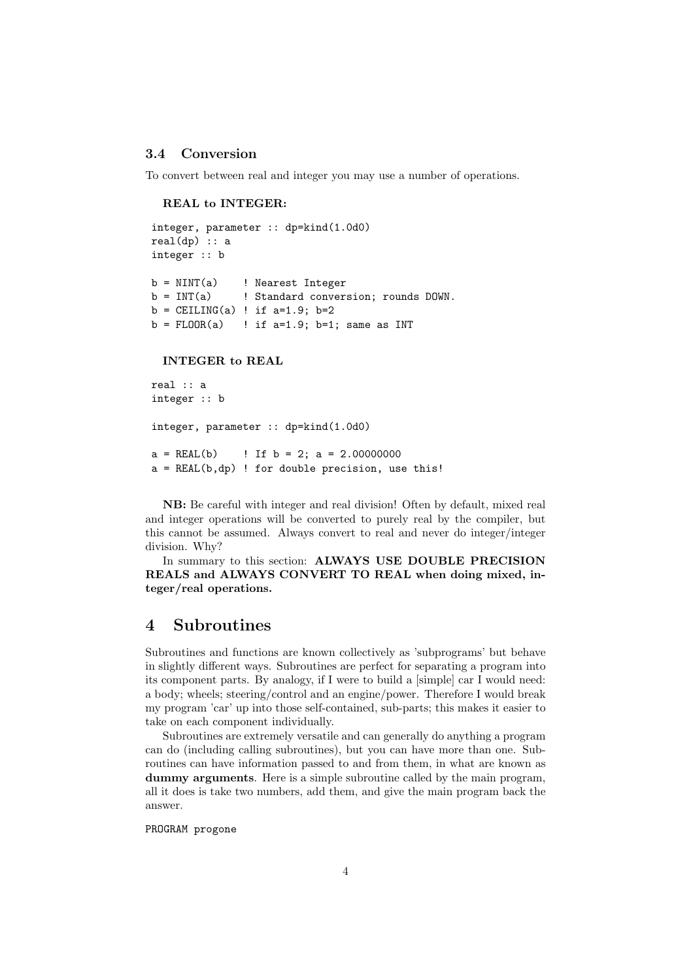#### 3.4 Conversion

To convert between real and integer you may use a number of operations.

#### REAL to INTEGER:

```
integer, parameter :: dp=kind(1.0d0)
real(dp) :: a
integer :: b
b = NINT(a) ! Nearest Integer
b = INT(a) ! Standard conversion; rounds DOWN.
b = \text{CEILING}(a) ! if a=1.9; b=2b = FLOOR(a) ! if a=1.9; b=1; same as INT
```
#### INTEGER to REAL

```
real :: a
integer :: b
integer, parameter :: dp=kind(1.0d0)
a = REAL(b) ! If b = 2; a = 2.00000000a = REAL(b,dp) ! for double precision, use this!
```
NB: Be careful with integer and real division! Often by default, mixed real and integer operations will be converted to purely real by the compiler, but this cannot be assumed. Always convert to real and never do integer/integer division. Why?

In summary to this section: ALWAYS USE DOUBLE PRECISION REALS and ALWAYS CONVERT TO REAL when doing mixed, integer/real operations.

### 4 Subroutines

Subroutines and functions are known collectively as 'subprograms' but behave in slightly different ways. Subroutines are perfect for separating a program into its component parts. By analogy, if I were to build a [simple] car I would need: a body; wheels; steering/control and an engine/power. Therefore I would break my program 'car' up into those self-contained, sub-parts; this makes it easier to take on each component individually.

Subroutines are extremely versatile and can generally do anything a program can do (including calling subroutines), but you can have more than one. Subroutines can have information passed to and from them, in what are known as dummy arguments. Here is a simple subroutine called by the main program, all it does is take two numbers, add them, and give the main program back the answer.

PROGRAM progone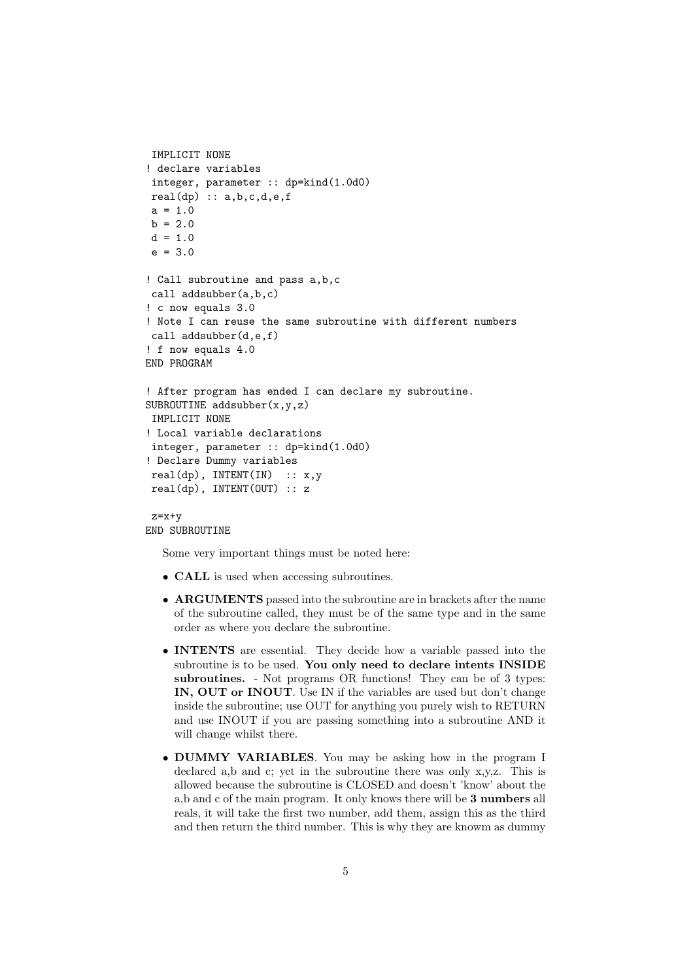```
IMPLICIT NONE
! declare variables
 integer, parameter :: dp=kind(1.0d0)
 real(dp) :: a,b,c,d,e,fa = 1.0b = 2.0d = 1.0e = 3.0! Call subroutine and pass a,b,c
 call addsubber(a,b,c)
! c now equals 3.0
! Note I can reuse the same subroutine with different numbers
call addsubber(d,e,f)
! f now equals 4.0
END PROGRAM
! After program has ended I can declare my subroutine.
SUBROUTINE addsubber(x,y,z)IMPLICIT NONE
! Local variable declarations
 integer, parameter :: dp=kind(1.0d0)
! Declare Dummy variables
 real(dp), INTENT(IN) :: x,y
 real(dp), INTENT(OUT) :: z
 z=x+y
```
#### END SUBROUTINE

Some very important things must be noted here:

- CALL is used when accessing subroutines.
- ARGUMENTS passed into the subroutine are in brackets after the name of the subroutine called, they must be of the same type and in the same order as where you declare the subroutine.
- INTENTS are essential. They decide how a variable passed into the subroutine is to be used. You only need to declare intents INSIDE subroutines. - Not programs OR functions! They can be of 3 types: IN, OUT or INOUT. Use IN if the variables are used but don't change inside the subroutine; use OUT for anything you purely wish to RETURN and use INOUT if you are passing something into a subroutine AND it will change whilst there.
- DUMMY VARIABLES. You may be asking how in the program I declared a,b and c; yet in the subroutine there was only x,y,z. This is allowed because the subroutine is CLOSED and doesn't 'know' about the a,b and c of the main program. It only knows there will be 3 numbers all reals, it will take the first two number, add them, assign this as the third and then return the third number. This is why they are knowm as dummy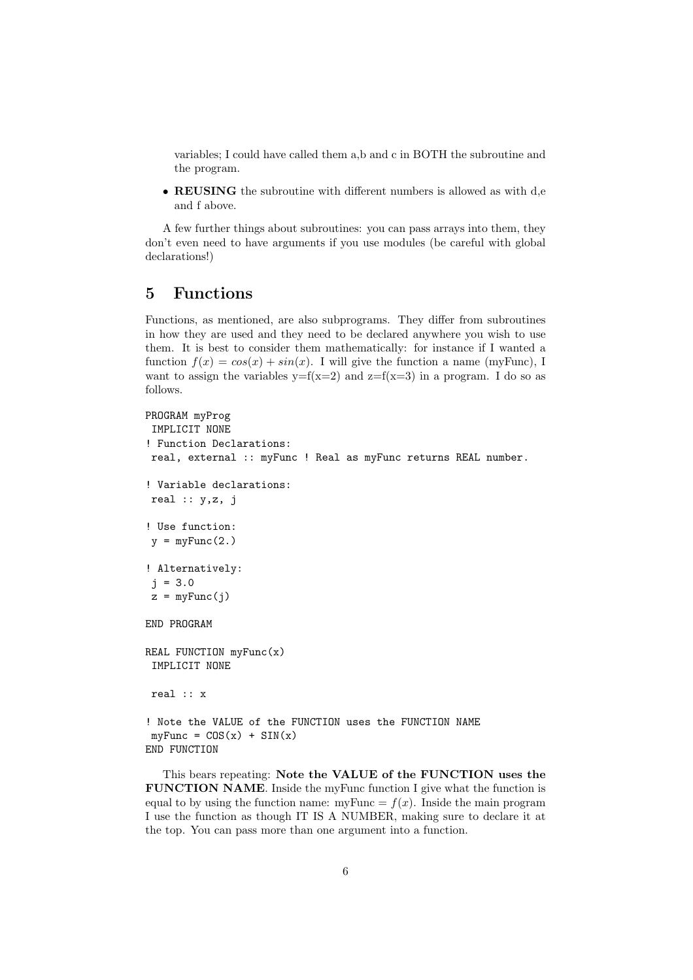variables; I could have called them a,b and c in BOTH the subroutine and the program.

• REUSING the subroutine with different numbers is allowed as with d,e and f above.

A few further things about subroutines: you can pass arrays into them, they don't even need to have arguments if you use modules (be careful with global declarations!)

## 5 Functions

Functions, as mentioned, are also subprograms. They differ from subroutines in how they are used and they need to be declared anywhere you wish to use them. It is best to consider them mathematically: for instance if I wanted a function  $f(x) = cos(x) + sin(x)$ . I will give the function a name (myFunc), I want to assign the variables  $y=f(x=2)$  and  $z=f(x=3)$  in a program. I do so as follows.

```
PROGRAM myProg
 IMPLICIT NONE
! Function Declarations:
 real, external :: myFunc ! Real as myFunc returns REAL number.
! Variable declarations:
real :: y,z, j! Use function:
y = myFunc(2.)! Alternatively:
 j = 3.0z = myFunc(j)END PROGRAM
REAL FUNCTION myFunc(x)IMPLICIT NONE
 real :: x
! Note the VALUE of the FUNCTION uses the FUNCTION NAME
myFunc = COS(x) + SIN(x)END FUNCTION
```
This bears repeating: Note the VALUE of the FUNCTION uses the FUNCTION NAME. Inside the myFunc function I give what the function is equal to by using the function name: myFunc =  $f(x)$ . Inside the main program I use the function as though IT IS A NUMBER, making sure to declare it at the top. You can pass more than one argument into a function.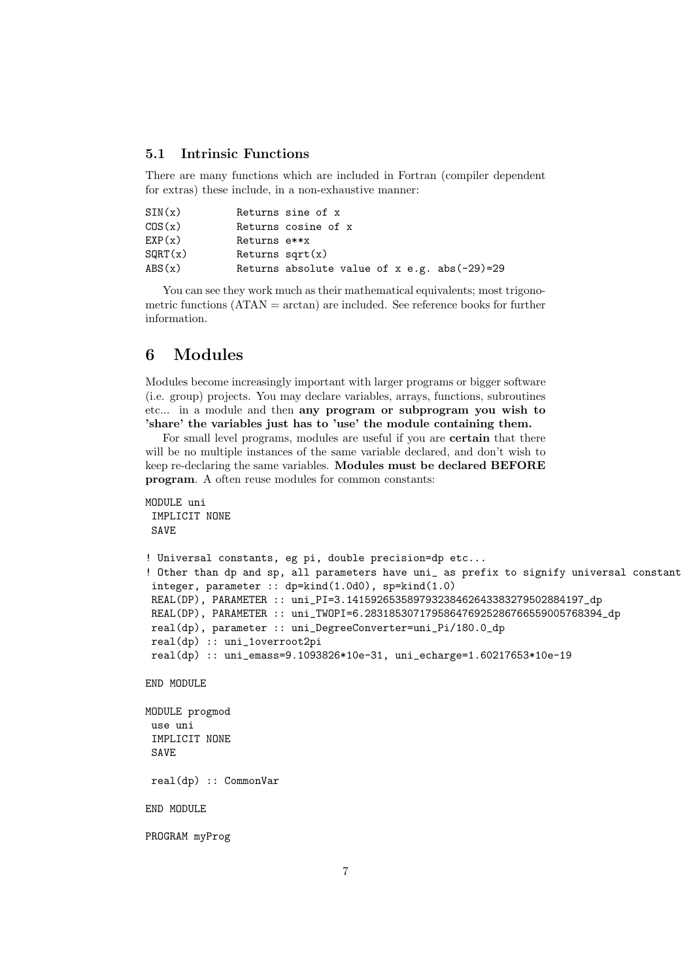### 5.1 Intrinsic Functions

There are many functions which are included in Fortran (compiler dependent for extras) these include, in a non-exhaustive manner:

| SIN(x)          |                    | Returns sine of x                              |
|-----------------|--------------------|------------------------------------------------|
| COS(x)          |                    | Returns cosine of x                            |
| EXP(x)          | Returns e**x       |                                                |
| SQRT(x)         | Returns sqrt $(x)$ |                                                |
| $\text{ABS}(x)$ |                    | Returns absolute value of $x$ e.g. abs(-29)=29 |

You can see they work much as their mathematical equivalents; most trigonometric functions  $(ATAN = arctan)$  are included. See reference books for further information.

## 6 Modules

Modules become increasingly important with larger programs or bigger software (i.e. group) projects. You may declare variables, arrays, functions, subroutines etc... in a module and then any program or subprogram you wish to 'share' the variables just has to 'use' the module containing them.

For small level programs, modules are useful if you are certain that there will be no multiple instances of the same variable declared, and don't wish to keep re-declaring the same variables. Modules must be declared BEFORE program. A often reuse modules for common constants:

```
MODULE uni
 IMPLICIT NONE
 SAVE
! Universal constants, eg pi, double precision=dp etc...
! Other than dp and sp, all parameters have uni_ as prefix to signify universal constant
 integer, parameter :: dp=kind(1.0d0), sp=kind(1.0)
 REAL(DP), PARAMETER :: uni_PI=3.141592653589793238462643383279502884197_dp
 REAL(DP), PARAMETER :: uni_TWOPI=6.283185307179586476925286766559005768394_dp
 real(dp), parameter :: uni_DegreeConverter=uni_Pi/180.0_dp
 real(dp) :: uni_1overroot2pi
 real(dp) :: uni_emass=9.1093826*10e-31, uni_echarge=1.60217653*10e-19
END MODULE
MODULE progmod
 use uni
 IMPLICIT NONE
 SAVE
 real(dp) :: CommonVar
END MODULE
PROGRAM myProg
```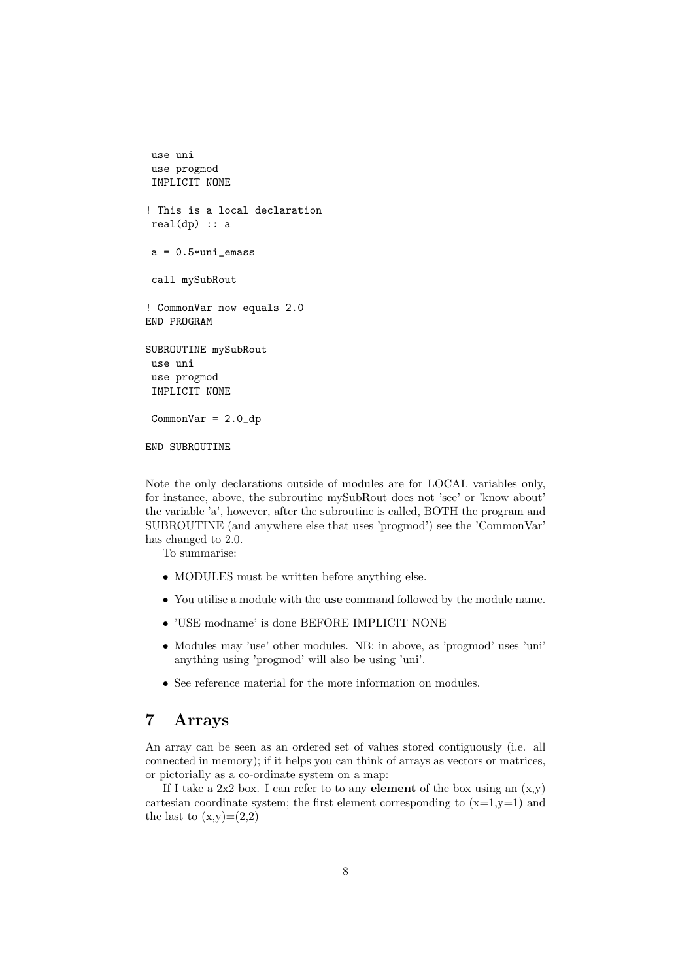```
use uni
 use progmod
 IMPLICIT NONE
! This is a local declaration
real(dp) :: aa = 0.5*uni_emass
 call mySubRout
! CommonVar now equals 2.0
END PROGRAM
SUBROUTINE mySubRout
 use uni
 use progmod
 IMPLICIT NONE
 CommonVar = 2.0 dp
END SUBROUTINE
```
Note the only declarations outside of modules are for LOCAL variables only, for instance, above, the subroutine mySubRout does not 'see' or 'know about' the variable 'a', however, after the subroutine is called, BOTH the program and SUBROUTINE (and anywhere else that uses 'progmod') see the 'CommonVar' has changed to 2.0.

To summarise:

- MODULES must be written before anything else.
- You utilise a module with the use command followed by the module name.
- 'USE modname' is done BEFORE IMPLICIT NONE
- Modules may 'use' other modules. NB: in above, as 'progmod' uses 'uni' anything using 'progmod' will also be using 'uni'.
- See reference material for the more information on modules.

## 7 Arrays

An array can be seen as an ordered set of values stored contiguously (i.e. all connected in memory); if it helps you can think of arrays as vectors or matrices, or pictorially as a co-ordinate system on a map:

If I take a 2x2 box. I can refer to to any **element** of the box using an  $(x, y)$ cartesian coordinate system; the first element corresponding to  $(x=1,y=1)$  and the last to  $(x,y)=(2,2)$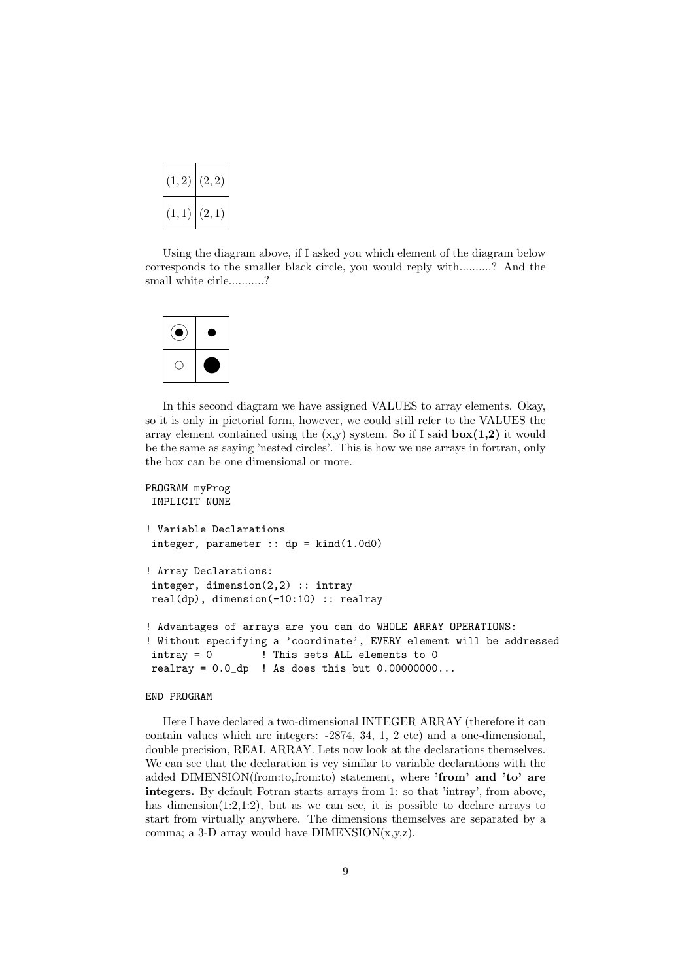| (1, 2) | (2, 2) |
|--------|--------|
| (1, 1) | (2, 1) |

Using the diagram above, if I asked you which element of the diagram below corresponds to the smaller black circle, you would reply with..........? And the small white cirle...........?



In this second diagram we have assigned VALUES to array elements. Okay, so it is only in pictorial form, however, we could still refer to the VALUES the array element contained using the  $(x,y)$  system. So if I said  $\mathbf{box}(1,2)$  it would be the same as saying 'nested circles'. This is how we use arrays in fortran, only the box can be one dimensional or more.

```
PROGRAM myProg
IMPLICIT NONE
! Variable Declarations
integer, parameter :: dp = kind(1.0d0)! Array Declarations:
integer, dimension(2,2) :: intray
real(dp), dimension(-10:10) :: realray
! Advantages of arrays are you can do WHOLE ARRAY OPERATIONS:
! Without specifying a 'coordinate', EVERY element will be addressed
intray = 0 ! This sets ALL elements to 0
realray = 0.0_dp ! As does this but 0.00000000...
```
#### END PROGRAM

Here I have declared a two-dimensional INTEGER ARRAY (therefore it can contain values which are integers: -2874, 34, 1, 2 etc) and a one-dimensional, double precision, REAL ARRAY. Lets now look at the declarations themselves. We can see that the declaration is vey similar to variable declarations with the added DIMENSION(from:to,from:to) statement, where 'from' and 'to' are integers. By default Fotran starts arrays from 1: so that 'intray', from above, has dimension(1:2,1:2), but as we can see, it is possible to declare arrays to start from virtually anywhere. The dimensions themselves are separated by a comma; a 3-D array would have  $DIMENSION(x,y,z)$ .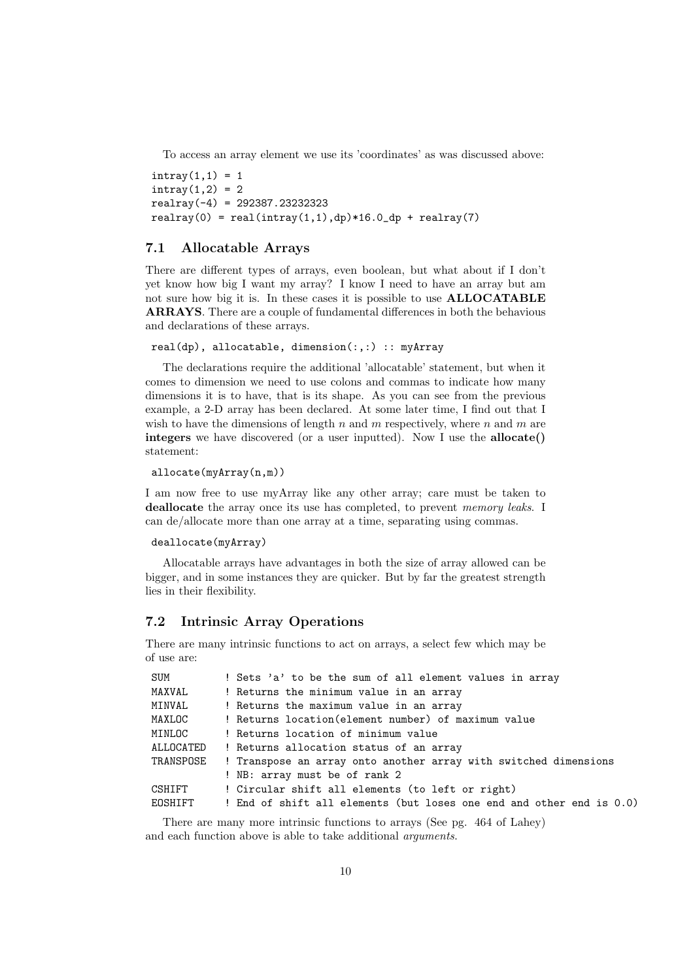To access an array element we use its 'coordinates' as was discussed above:

 $intrav(1,1) = 1$  $intrav(1,2) = 2$ realray(-4) = 292387.23232323 realray(0) = real(intray(1,1),dp)\*16.0\_dp + realray(7)

### 7.1 Allocatable Arrays

There are different types of arrays, even boolean, but what about if I don't yet know how big I want my array? I know I need to have an array but am not sure how big it is. In these cases it is possible to use ALLOCATABLE ARRAYS. There are a couple of fundamental differences in both the behavious and declarations of these arrays.

```
real(dp), allocatable, dimension(:,:) :: myArray
```
The declarations require the additional 'allocatable' statement, but when it comes to dimension we need to use colons and commas to indicate how many dimensions it is to have, that is its shape. As you can see from the previous example, a 2-D array has been declared. At some later time, I find out that I wish to have the dimensions of length n and m respectively, where n and m are integers we have discovered (or a user inputted). Now I use the **allocate**() statement:

```
allocate(myArray(n,m))
```
I am now free to use myArray like any other array; care must be taken to deallocate the array once its use has completed, to prevent memory leaks. I can de/allocate more than one array at a time, separating using commas.

```
deallocate(myArray)
```
Allocatable arrays have advantages in both the size of array allowed can be bigger, and in some instances they are quicker. But by far the greatest strength lies in their flexibility.

### 7.2 Intrinsic Array Operations

There are many intrinsic functions to act on arrays, a select few which may be of use are:

| SUM       | ! Sets 'a' to be the sum of all element values in array              |  |  |
|-----------|----------------------------------------------------------------------|--|--|
| MAXVAL    | ! Returns the minimum value in an array                              |  |  |
| MINVAL    | ! Returns the maximum value in an array                              |  |  |
| MAXLOC    | ! Returns location (element number) of maximum value                 |  |  |
| MINLOC    | ! Returns location of minimum value                                  |  |  |
| ALLOCATED | ! Returns allocation status of an array                              |  |  |
| TRANSPOSE | ! Transpose an array onto another array with switched dimensions     |  |  |
|           | ! NB: array must be of rank 2                                        |  |  |
| CSHIFT    | ! Circular shift all elements (to left or right)                     |  |  |
| EOSHIFT   | ! End of shift all elements (but loses one end and other end is 0.0) |  |  |
|           |                                                                      |  |  |

There are many more intrinsic functions to arrays (See pg. 464 of Lahey) and each function above is able to take additional arguments.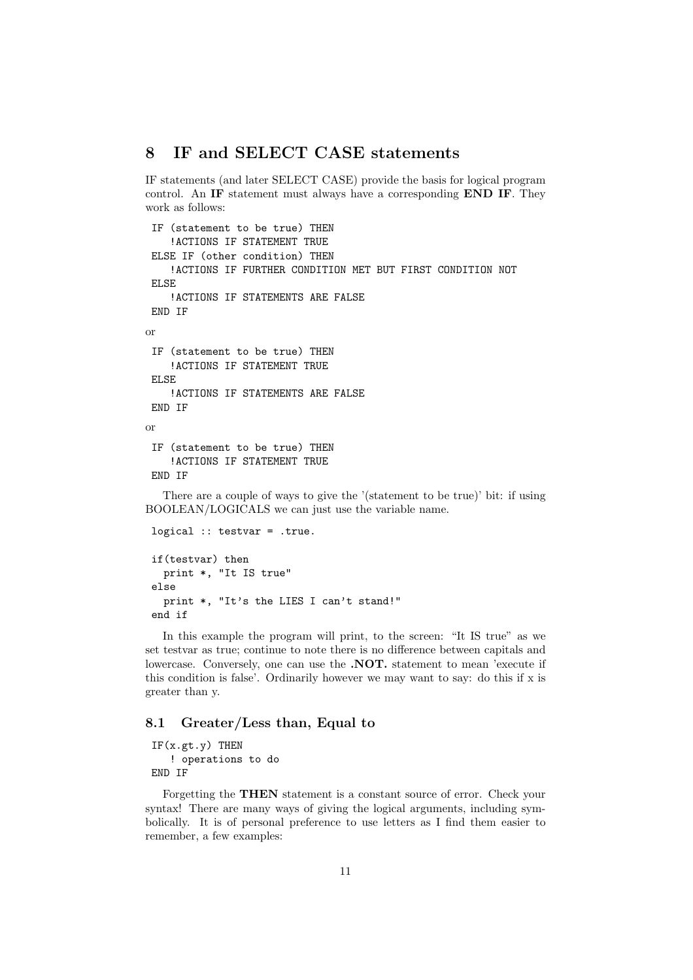## 8 IF and SELECT CASE statements

IF statements (and later SELECT CASE) provide the basis for logical program control. An IF statement must always have a corresponding END IF. They work as follows:

```
IF (statement to be true) THEN
    !ACTIONS IF STATEMENT TRUE
ELSE IF (other condition) THEN
    !ACTIONS IF FURTHER CONDITION MET BUT FIRST CONDITION NOT
ELSE
    !ACTIONS IF STATEMENTS ARE FALSE
END IF
or
IF (statement to be true) THEN
    !ACTIONS IF STATEMENT TRUE
ELSE
    !ACTIONS IF STATEMENTS ARE FALSE
END IF
or
 IF (statement to be true) THEN
    !ACTIONS IF STATEMENT TRUE
END IF
```
There are a couple of ways to give the '(statement to be true)' bit: if using BOOLEAN/LOGICALS we can just use the variable name.

```
logical :: testvar = .true.
if(testvar) then
  print *, "It IS true"
else
 print *, "It's the LIES I can't stand!"
end if
```
In this example the program will print, to the screen: "It IS true" as we set testvar as true; continue to note there is no difference between capitals and lowercase. Conversely, one can use the .NOT. statement to mean 'execute if this condition is false'. Ordinarily however we may want to say: do this if x is greater than y.

### 8.1 Greater/Less than, Equal to

 $IF(x.get.y)$  THEN ! operations to do END IF

Forgetting the THEN statement is a constant source of error. Check your syntax! There are many ways of giving the logical arguments, including symbolically. It is of personal preference to use letters as I find them easier to remember, a few examples: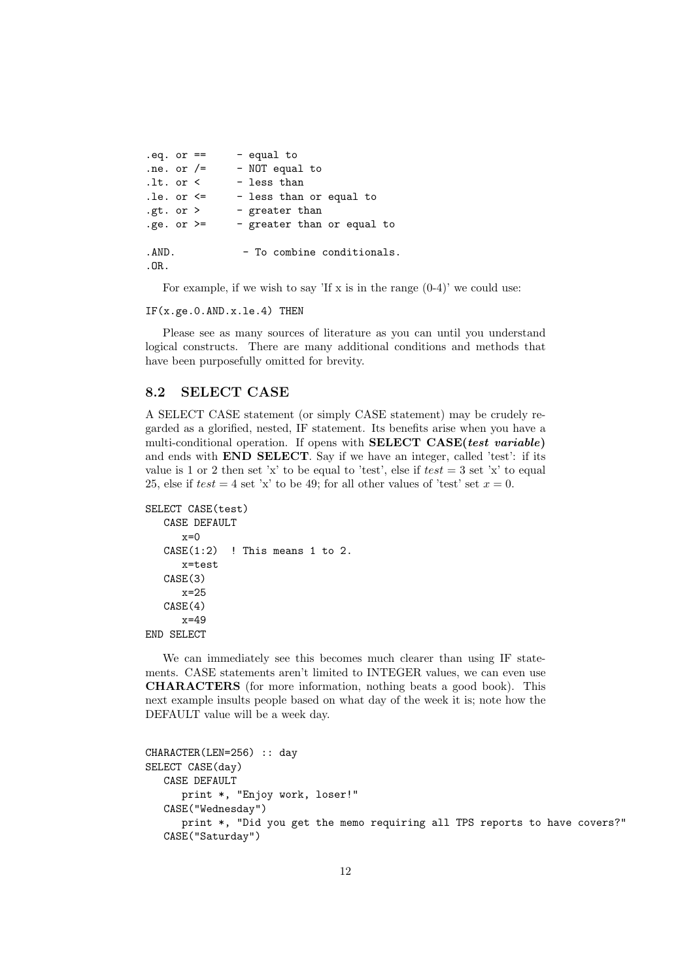| $eq. or =$    | - equal to                 |
|---------------|----------------------------|
| .ne. or $/=$  | - NOT equal to             |
| .lt. or <     | - less than                |
| .le. or $\le$ | - less than or equal to    |
| .gt. or $>$   | - greater than             |
| .ge. or $>=$  | - greater than or equal to |
| .AND.<br>.OR. | - To combine conditionals. |

For example, if we wish to say 'If x is in the range  $(0-4)$ ' we could use:

IF(x.ge.0.AND.x.le.4) THEN

Please see as many sources of literature as you can until you understand logical constructs. There are many additional conditions and methods that have been purposefully omitted for brevity.

### 8.2 SELECT CASE

A SELECT CASE statement (or simply CASE statement) may be crudely regarded as a glorified, nested, IF statement. Its benefits arise when you have a multi-conditional operation. If opens with **SELECT CASE**(test variable) and ends with END SELECT. Say if we have an integer, called 'test': if its value is 1 or 2 then set 'x' to be equal to 'test', else if  $test = 3$  set 'x' to equal 25, else if  $test = 4$  set 'x' to be 49; for all other values of 'test' set  $x = 0$ .

```
SELECT CASE(test)
  CASE DEFAULT
     x=0CASE(1:2) ! This means 1 to 2.
      x=test
  CASE(3)
     x=25CASE(4)x=49
END SELECT
```
We can immediately see this becomes much clearer than using IF statements. CASE statements aren't limited to INTEGER values, we can even use CHARACTERS (for more information, nothing beats a good book). This next example insults people based on what day of the week it is; note how the DEFAULT value will be a week day.

```
CHARACTER(LEN=256) :: day
SELECT CASE(day)
  CASE DEFAULT
     print *, "Enjoy work, loser!"
  CASE("Wednesday")
      print *, "Did you get the memo requiring all TPS reports to have covers?"
  CASE("Saturday")
```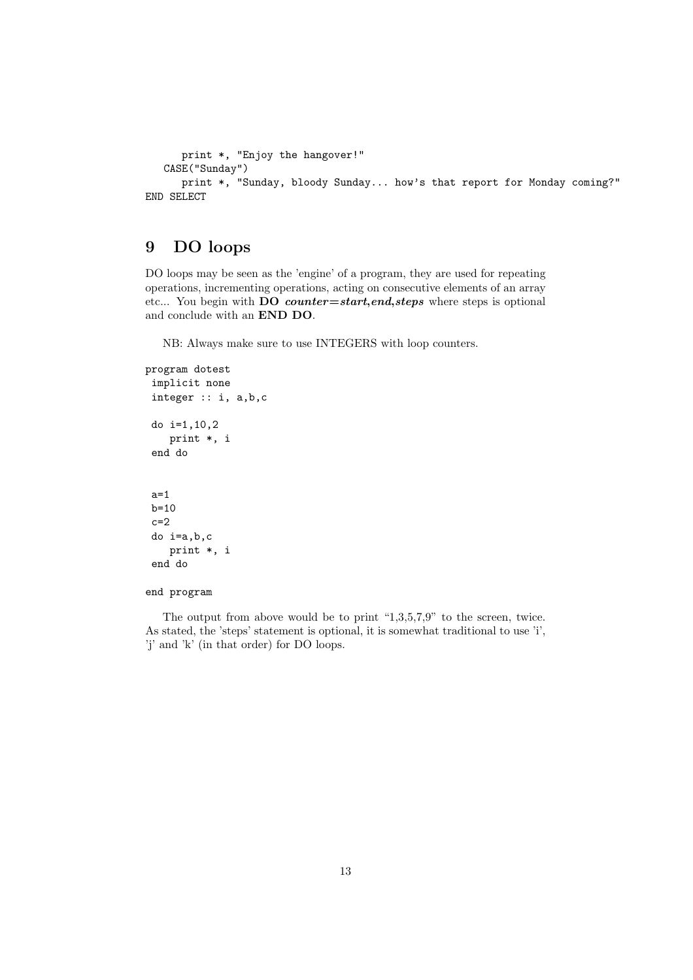```
print *, "Enjoy the hangover!"
   CASE("Sunday")
     print *, "Sunday, bloody Sunday... how's that report for Monday coming?"
END SELECT
```
## 9 DO loops

DO loops may be seen as the 'engine' of a program, they are used for repeating operations, incrementing operations, acting on consecutive elements of an array etc... You begin with DO counter=start,end,steps where steps is optional and conclude with an END DO.

NB: Always make sure to use INTEGERS with loop counters.

```
program dotest
 implicit none
 integer :: i, a,b,c
 do i=1,10,2
    print *, i
 end do
 a=1
b=10
 c=2do i=a,b,c
    print *, i
 end do
```
### end program

The output from above would be to print "1,3,5,7,9" to the screen, twice. As stated, the 'steps' statement is optional, it is somewhat traditional to use 'i', 'j' and 'k' (in that order) for DO loops.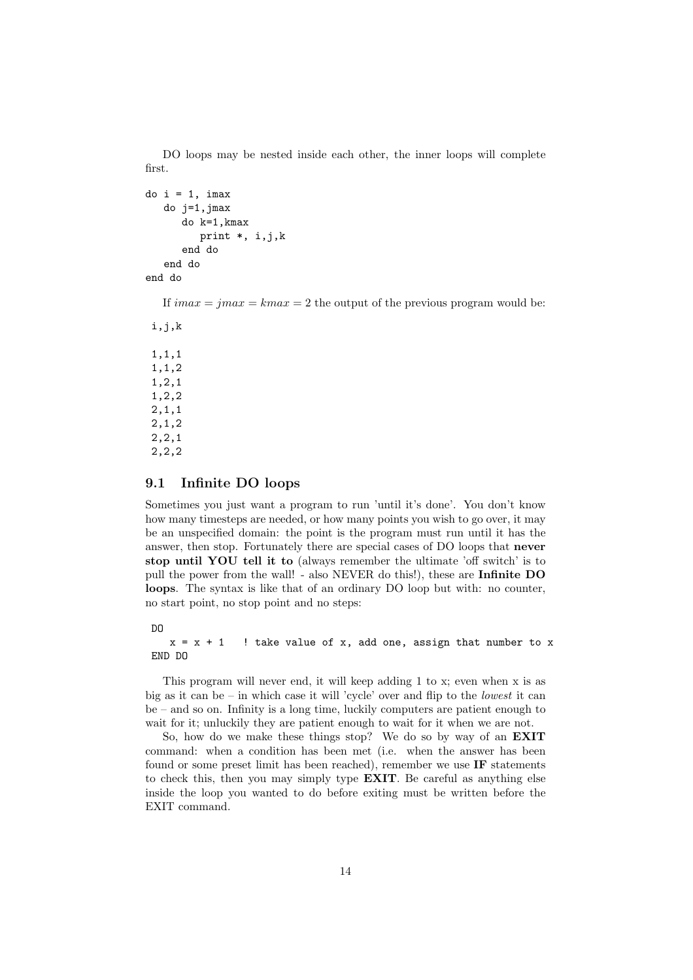DO loops may be nested inside each other, the inner loops will complete first.

```
do i = 1, imax
   do j=1,jmax
      do k=1,kmax
         print *, i,j,k
      end do
   end do
end do
```
If  $imax = imax = kmax = 2$  the output of the previous program would be:

i,j,k 1,1,1 1,1,2 1,2,1 1,2,2 2,1,1 2,1,2 2,2,1 2,2,2

#### 9.1 Infinite DO loops

Sometimes you just want a program to run 'until it's done'. You don't know how many timesteps are needed, or how many points you wish to go over, it may be an unspecified domain: the point is the program must run until it has the answer, then stop. Fortunately there are special cases of DO loops that never stop until YOU tell it to (always remember the ultimate 'off switch' is to pull the power from the wall! - also NEVER do this!), these are Infinite DO loops. The syntax is like that of an ordinary DO loop but with: no counter, no start point, no stop point and no steps:

DO

```
x = x + 1 ! take value of x, add one, assign that number to x
END DO
```
This program will never end, it will keep adding 1 to x; even when x is as big as it can be – in which case it will 'cycle' over and flip to the *lowest* it can be – and so on. Infinity is a long time, luckily computers are patient enough to wait for it; unluckily they are patient enough to wait for it when we are not.

So, how do we make these things stop? We do so by way of an EXIT command: when a condition has been met (i.e. when the answer has been found or some preset limit has been reached), remember we use IF statements to check this, then you may simply type EXIT. Be careful as anything else inside the loop you wanted to do before exiting must be written before the EXIT command.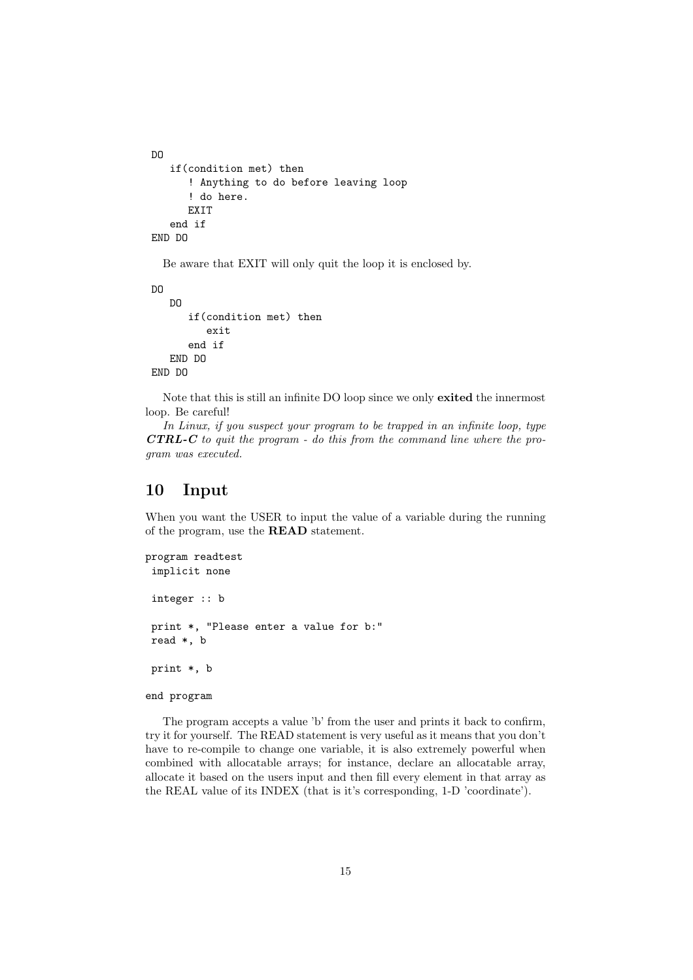```
DO
   if(condition met) then
      ! Anything to do before leaving loop
      ! do here.
      EXIT
   end if
END DO
```
Be aware that EXIT will only quit the loop it is enclosed by.

```
DO
   DO
      if(condition met) then
         exit
      end if
   END DO
END DO
```
Note that this is still an infinite DO loop since we only exited the innermost loop. Be careful!

In Linux, if you suspect your program to be trapped in an infinite loop, type  $\boldsymbol{CTRL-C}$  to quit the program - do this from the command line where the program was executed.

### 10 Input

When you want the USER to input the value of a variable during the running of the program, use the READ statement.

```
program readtest
 implicit none
 integer :: b
 print *, "Please enter a value for b:"
 read *, b
 print *, b
```
end program

The program accepts a value 'b' from the user and prints it back to confirm, try it for yourself. The READ statement is very useful as it means that you don't have to re-compile to change one variable, it is also extremely powerful when combined with allocatable arrays; for instance, declare an allocatable array, allocate it based on the users input and then fill every element in that array as the REAL value of its INDEX (that is it's corresponding, 1-D 'coordinate').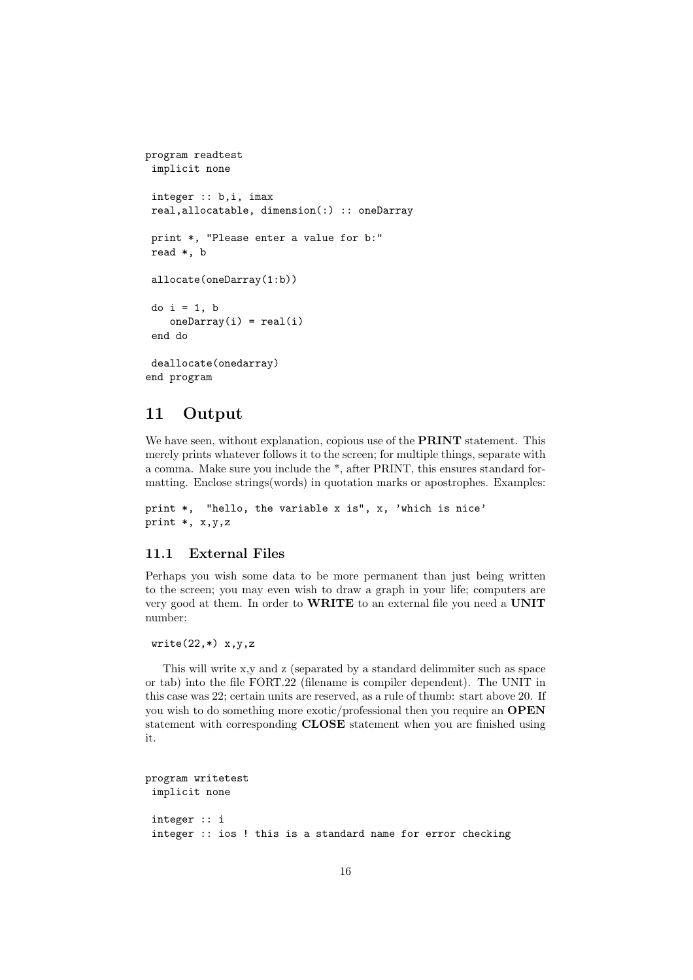```
program readtest
 implicit none
 integer :: b,i, imax
 real,allocatable, dimension(:) :: oneDarray
 print *, "Please enter a value for b:"
 read *, b
 allocate(oneDarray(1:b))
 do i = 1, b
    oneDarray(i) = real(i)end do
 deallocate(onedarray)
end program
```
## 11 Output

We have seen, without explanation, copious use of the **PRINT** statement. This merely prints whatever follows it to the screen; for multiple things, separate with a comma. Make sure you include the \*, after PRINT, this ensures standard formatting. Enclose strings(words) in quotation marks or apostrophes. Examples:

```
print *, "hello, the variable x is", x, 'which is nice'
print *, x,y,z
```
### 11.1 External Files

Perhaps you wish some data to be more permanent than just being written to the screen; you may even wish to draw a graph in your life; computers are very good at them. In order to WRITE to an external file you need a UNIT number:

```
write(22, *) x,y,z
```
This will write x,y and z (separated by a standard delimmiter such as space or tab) into the file FORT.22 (filename is compiler dependent). The UNIT in this case was 22; certain units are reserved, as a rule of thumb: start above 20. If you wish to do something more exotic/professional then you require an OPEN statement with corresponding CLOSE statement when you are finished using it.

```
program writetest
 implicit none
 integer :: i
 integer :: ios ! this is a standard name for error checking
```